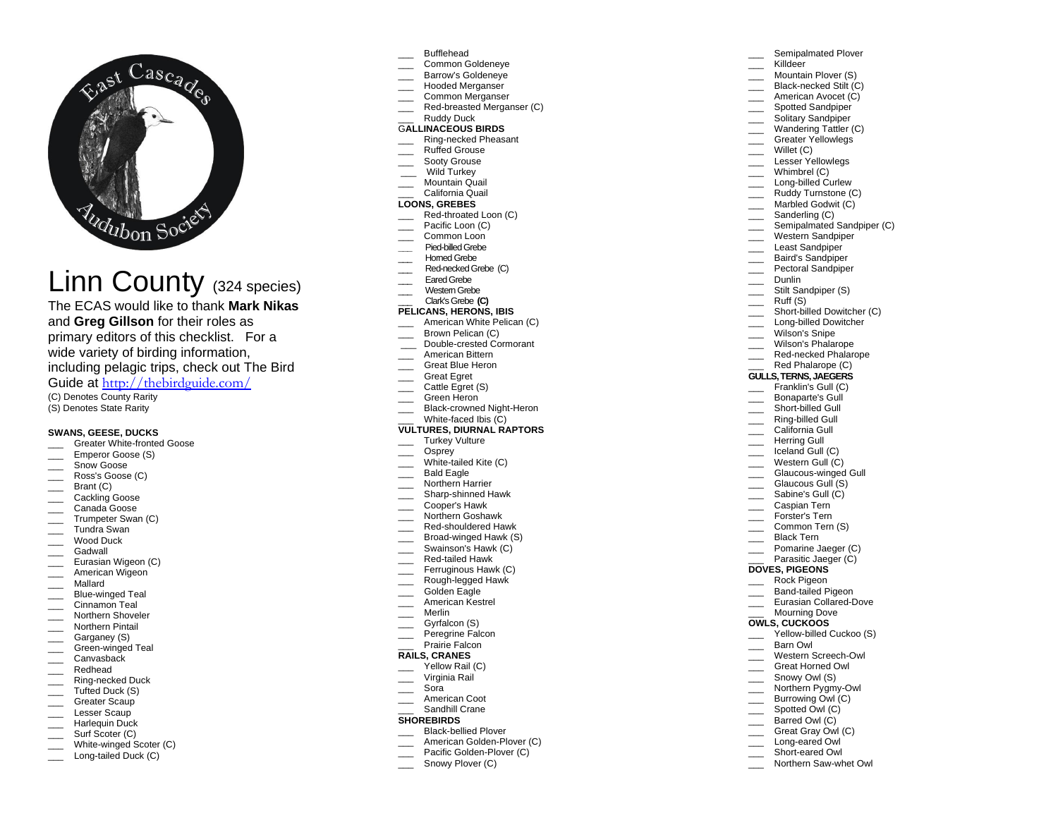

# Linn County (324 species)

The ECAS would like to thank **Mark Nikas** and **Greg Gillson** for their roles as primary editors of this checklist. For a wide variety of birding information, including pelagic trips, check out The Bird Guide at <http://thebirdguide.com/>

(C) Denotes County Rarity (S) Denotes State Rarity

## **SWANS, GEESE, DUCKS**

- Greater White-fronted Goose
- Emperor Goose (S)
- Snow Goose
- Ross's Goose (C)
- Brant (C)
- Cackling Goose
- \_\_\_ Canada Goose
- \_\_\_ Trumpeter Swan (C)
- \_\_\_ Tundra Swan
- \_\_\_ Wood Duck
- \_\_\_ Gadwall
- \_\_\_ Eurasian Wigeon (C)
- \_\_\_ American Wigeon
- \_\_\_ Mallard
- \_\_\_ Blue-winged Teal
- \_\_\_\_ Cinnamon Teal
- \_\_\_ Northern Shoveler
- \_\_\_ Northern Pintail Garganey (S)
- Green-winged Teal
- Canvasback
- \_\_\_ Redhead
- \_\_\_ Ring-necked Duck
- \_\_\_ Tufted Duck (S)
- Greater Scaup
- Lesser Scaup
- Harlequin Duck
- \_\_\_\_ Surf Scoter (C)
- \_\_\_ White-winged Scoter (C)
- Long-tailed Duck (C)
- \_\_\_ Bufflehead
- \_\_\_ Common Goldeneye
- Barrow's Goldeneve
- Hooded Merganser
- Common Merganser
- Red-breasted Merganser (C)

#### Ruddy Duck G**ALLINACEOUS BIRDS**

- Ring-necked Pheasant
- Ruffed Grouse
- Sooty Grouse
- \_\_\_ Wild Turkey
- Mountain Quail
- \_\_\_ California Quail

## **LOONS, GREBES**

- Red-throated Loon (C)
- Pacific Loon (C)
- Common Loon
- **\_\_\_** Pied-billed Grebe Horned Grebe
- Red-necked Grebe (C)
- Eared Grebe
- Western Grebe
- \_\_\_ Clark's Grebe **(C)**

## **PELICANS, HERONS, IBIS**

- \_\_\_ American White Pelican (C)
- \_\_\_ Brown Pelican (C)
- Double-crested Cormorant
- \_\_\_ American Bittern
- \_\_\_ Great Blue Heron
- \_\_\_ Great Egret
- \_\_\_\_ Cattle Egret (S)
- \_\_\_ Green Heron
- \_\_\_ Black-crowned Night-Heron
- White-faced Ibis (C)

#### **VULTURES, DIURNAL RAPTORS** \_\_\_ Turkey Vulture

- Osprey
- 
- White-tailed Kite (C) Bald Eagle
- Northern Harrier
- \_\_\_ Sharp-shinned Hawk
- \_\_\_ Cooper's Hawk
- \_\_\_ Northern Goshawk
- \_\_\_ Red-shouldered Hawk
- Broad-winged Hawk (S)
- Swainson's Hawk (C)
- \_\_\_ Red-tailed Hawk
- Ferruginous Hawk (C)
- \_\_\_ Rough-legged Hawk
- Golden Eagle
- \_\_\_ American Kestrel
- \_\_\_ Merlin
- Gyrfalcon (S)
- Peregrine Falcon Prairie Falcon

# **RAILS, CRANES**

- Yellow Rail (C)
- Virginia Rail
- \_\_\_ Sora
- \_\_\_ American Coot
- Sandhill Crane

#### **SHOREBIRDS**

- \_\_\_ Black-bellied Plover
- American Golden-Plover (C)
- Pacific Golden-Plover (C)
- Snowy Plover (C)

## Semipalmated Plover

American Avocet (C) Spotted Sandpiper Solitary Sandpiper Wandering Tattler (C) \_\_\_ Greater Yellowlegs

Semipalmated Sandpiper (C) Western Sandpiper Least Sandpiper \_\_\_ Baird's Sandpiper Pectoral Sandpiper

Short-billed Dowitcher (C) Long-billed Dowitcher Wilson's Snipe Wilson's Phalarope Red-necked Phalarope Red Phalarope (C) **GULLS, TERNS, JAEGERS** Franklin's Gull (C) \_\_\_ Bonaparte's Gull Short-billed Gull \_\_\_ Ring-billed Gull California Gull Herring Gull Iceland Gull (C) Western Gull (C) Glaucous-winged Gull \_\_\_ Glaucous Gull (S) Sabine's Gull (C) \_\_\_ Caspian Tern Forster's Tern Common Tern (S) \_\_\_ Black Tern Pomarine Jaeger (C) Parasitic Jaeger (C)

- \_\_\_ Killdeer
- Mountain Plover (S) Black-necked Stilt (C)

 $\frac{1}{2}$  Willet (C) \_\_\_ Lesser Yellowlegs \_\_\_ Whimbrel (C) Long-billed Curlew Ruddy Turnstone (C) Marbled Godwit (C) Sanderling (C)

Dunlin Stilt Sandpiper (S) Ruff (S)

**DOVES, PIGEONS** \_\_\_ Rock Pigeon \_\_\_ Band-tailed Pigeon \_\_\_ Eurasian Collared-Dove \_\_\_ Mourning Dove **OWLS, CUCKOOS**

\_\_\_ Barn Owl

Yellow-billed Cuckoo (S)

\_\_\_ Western Screech-Owl \_\_\_ Great Horned Owl Snowy Owl (S) \_\_\_ Northern Pygmy-Owl \_\_\_ Burrowing Owl (C) Spotted Owl (C) Barred Owl (C) Great Gray Owl (C) Long-eared Owl Short-eared Owl Northern Saw-whet Owl